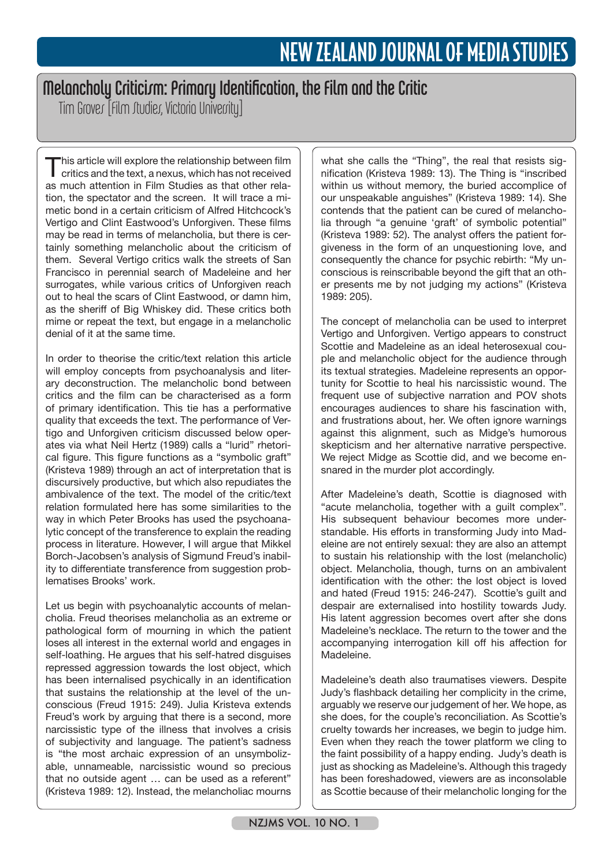# Melancholy Criticism: Primary Identification, the Film and the Critic

Tim Groves [Film Studies, Victoria University]

This article will explore the relationship between film<br>critics and the text, a nexus, which has not received as much attention in Film Studies as that other relation, the spectator and the screen. It will trace a mimetic bond in a certain criticism of Alfred Hitchcock's Vertigo and Clint Eastwood's Unforgiven. These films may be read in terms of melancholia, but there is certainly something melancholic about the criticism of them. Several Vertigo critics walk the streets of San Francisco in perennial search of Madeleine and her surrogates, while various critics of Unforgiven reach out to heal the scars of Clint Eastwood, or damn him, as the sheriff of Big Whiskey did. These critics both mime or repeat the text, but engage in a melancholic denial of it at the same time.

In order to theorise the critic/text relation this article will employ concepts from psychoanalysis and literary deconstruction. The melancholic bond between critics and the film can be characterised as a form of primary identification. This tie has a performative quality that exceeds the text. The performance of Vertigo and Unforgiven criticism discussed below operates via what Neil Hertz (1989) calls a "lurid" rhetorical figure. This figure functions as a "symbolic graft" (Kristeva 1989) through an act of interpretation that is discursively productive, but which also repudiates the ambivalence of the text. The model of the critic/text relation formulated here has some similarities to the way in which Peter Brooks has used the psychoanalytic concept of the transference to explain the reading process in literature. However, I will argue that Mikkel Borch-Jacobsen's analysis of Sigmund Freud's inability to differentiate transference from suggestion problematises Brooks' work.

Let us begin with psychoanalytic accounts of melancholia. Freud theorises melancholia as an extreme or pathological form of mourning in which the patient loses all interest in the external world and engages in self-loathing. He argues that his self-hatred disguises repressed aggression towards the lost object, which has been internalised psychically in an identification that sustains the relationship at the level of the unconscious (Freud 1915: 249). Julia Kristeva extends Freud's work by arguing that there is a second, more narcissistic type of the illness that involves a crisis of subjectivity and language. The patient's sadness is "the most archaic expression of an unsymbolizable, unnameable, narcissistic wound so precious that no outside agent … can be used as a referent" (Kristeva 1989: 12). Instead, the melancholiac mourns what she calls the "Thing", the real that resists signification (Kristeva 1989: 13). The Thing is "inscribed within us without memory, the buried accomplice of our unspeakable anguishes" (Kristeva 1989: 14). She contends that the patient can be cured of melancholia through "a genuine 'graft' of symbolic potential" (Kristeva 1989: 52). The analyst offers the patient forgiveness in the form of an unquestioning love, and consequently the chance for psychic rebirth: "My unconscious is reinscribable beyond the gift that an other presents me by not judging my actions" (Kristeva 1989: 205).

The concept of melancholia can be used to interpret Vertigo and Unforgiven. Vertigo appears to construct Scottie and Madeleine as an ideal heterosexual couple and melancholic object for the audience through its textual strategies. Madeleine represents an opportunity for Scottie to heal his narcissistic wound. The frequent use of subjective narration and POV shots encourages audiences to share his fascination with, and frustrations about, her. We often ignore warnings against this alignment, such as Midge's humorous skepticism and her alternative narrative perspective. We reject Midge as Scottie did, and we become ensnared in the murder plot accordingly.

After Madeleine's death, Scottie is diagnosed with "acute melancholia, together with a guilt complex". His subsequent behaviour becomes more understandable. His efforts in transforming Judy into Madeleine are not entirely sexual: they are also an attempt to sustain his relationship with the lost (melancholic) object. Melancholia, though, turns on an ambivalent identification with the other: the lost object is loved and hated (Freud 1915: 246-247). Scottie's guilt and despair are externalised into hostility towards Judy. His latent aggression becomes overt after she dons Madeleine's necklace. The return to the tower and the accompanying interrogation kill off his affection for Madeleine.

Madeleine's death also traumatises viewers. Despite Judy's flashback detailing her complicity in the crime, arguably we reserve our judgement of her. We hope, as she does, for the couple's reconciliation. As Scottie's cruelty towards her increases, we begin to judge him. Even when they reach the tower platform we cling to the faint possibility of a happy ending. Judy's death is just as shocking as Madeleine's. Although this tragedy has been foreshadowed, viewers are as inconsolable as Scottie because of their melancholic longing for the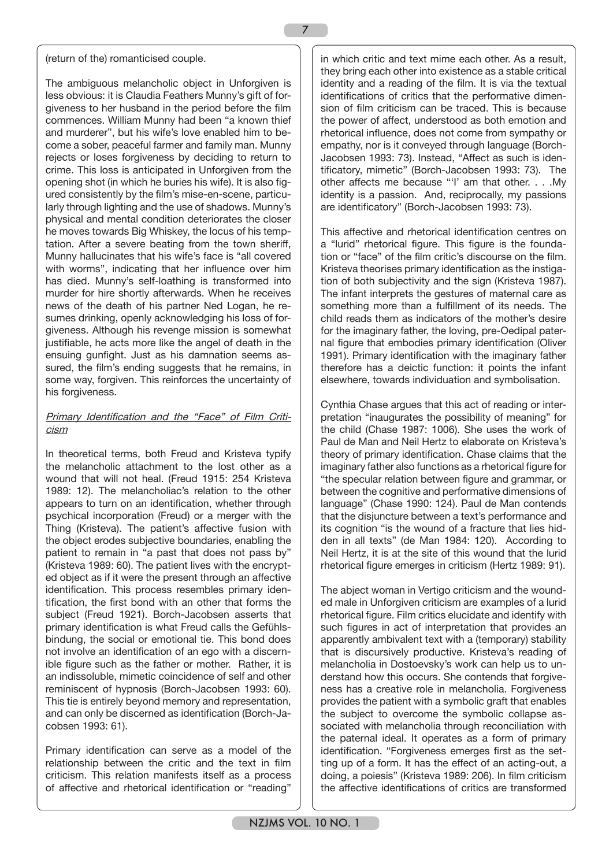#### (return of the) romanticised couple.

The ambiguous melancholic object in Unforgiven is less obvious: it is Claudia Feathers Munny's gift of forgiveness to her husband in the period before the film commences. William Munny had been "a known thief and murderer", but his wife's love enabled him to become a sober, peaceful farmer and family man. Munny rejects or loses forgiveness by deciding to return to crime. This loss is anticipated in Unforgiven from the opening shot (in which he buries his wife). It is also figured consistently by the film's mise-en-scene, particularly through lighting and the use of shadows. Munny's physical and mental condition deteriorates the closer he moves towards Big Whiskey, the locus of his temptation. After a severe beating from the town sheriff, Munny hallucinates that his wife's face is "all covered with worms", indicating that her influence over him has died. Munny's self-loathing is transformed into murder for hire shortly afterwards. When he receives news of the death of his partner Ned Logan, he resumes drinking, openly acknowledging his loss of forgiveness. Although his revenge mission is somewhat justifiable, he acts more like the angel of death in the ensuing gunfight. Just as his damnation seems assured, the film's ending suggests that he remains, in some way, forgiven. This reinforces the uncertainty of his forgiveness.

## Primary Identification and the "Face" of Film Criticism

In theoretical terms, both Freud and Kristeva typify the melancholic attachment to the lost other as a wound that will not heal. (Freud 1915: 254 Kristeva 1989: 12). The melancholiac's relation to the other appears to turn on an identification, whether through psychical incorporation (Freud) or a merger with the Thing (Kristeva). The patient's affective fusion with the object erodes subjective boundaries, enabling the patient to remain in "a past that does not pass by" (Kristeva 1989: 60). The patient lives with the encrypted object as if it were the present through an affective identification. This process resembles primary identification, the first bond with an other that forms the subject (Freud 1921). Borch-Jacobsen asserts that primary identification is what Freud calls the Gefühlsbindung, the social or emotional tie. This bond does not involve an identification of an ego with a discernible figure such as the father or mother. Rather, it is an indissoluble, mimetic coincidence of self and other reminiscent of hypnosis (Borch-Jacobsen 1993: 60). This tie is entirely beyond memory and representation, and can only be discerned as identification (Borch-Jacobsen 1993: 61).

Primary identification can serve as a model of the relationship between the critic and the text in film criticism. This relation manifests itself as a process of affective and rhetorical identification or "reading"

in which critic and text mime each other. As a result, they bring each other into existence as a stable critical identity and a reading of the film. It is via the textual identifications of critics that the performative dimension of film criticism can be traced. This is because the power of affect, understood as both emotion and rhetorical influence, does not come from sympathy or empathy, nor is it conveyed through language (Borch-Jacobsen 1993: 73). Instead, "Affect as such is identificatory, mimetic" (Borch-Jacobsen 1993: 73). The other affects me because "'I' am that other. . . .My identity is a passion. And, reciprocally, my passions are identificatory" (Borch-Jacobsen 1993: 73).

This affective and rhetorical identification centres on a "lurid" rhetorical figure. This figure is the foundation or "face" of the film critic's discourse on the film. Kristeva theorises primary identification as the instigation of both subjectivity and the sign (Kristeva 1987). The infant interprets the gestures of maternal care as something more than a fulfillment of its needs. The child reads them as indicators of the mother's desire for the imaginary father, the loving, pre-Oedipal paternal figure that embodies primary identification (Oliver 1991). Primary identification with the imaginary father therefore has a deictic function: it points the infant elsewhere, towards individuation and symbolisation.

Cynthia Chase argues that this act of reading or interpretation "inaugurates the possibility of meaning" for the child (Chase 1987: 1006). She uses the work of Paul de Man and Neil Hertz to elaborate on Kristeva's theory of primary identification. Chase claims that the imaginary father also functions as a rhetorical figure for "the specular relation between figure and grammar, or between the cognitive and performative dimensions of language" (Chase 1990: 124). Paul de Man contends that the disjuncture between a text's performance and its cognition "is the wound of a fracture that lies hidden in all texts" (de Man 1984: 120). According to Neil Hertz, it is at the site of this wound that the lurid rhetorical figure emerges in criticism (Hertz 1989: 91).

The abject woman in Vertigo criticism and the wounded male in Unforgiven criticism are examples of a lurid rhetorical figure. Film critics elucidate and identify with such figures in act of interpretation that provides an apparently ambivalent text with a (temporary) stability that is discursively productive. Kristeva's reading of melancholia in Dostoevsky's work can help us to understand how this occurs. She contends that forgiveness has a creative role in melancholia. Forgiveness provides the patient with a symbolic graft that enables the subject to overcome the symbolic collapse associated with melancholia through reconciliation with the paternal ideal. It operates as a form of primary identification. "Forgiveness emerges first as the setting up of a form. It has the effect of an acting-out, a doing, a poiesis" (Kristeva 1989: 206). In film criticism the affective identifications of critics are transformed

7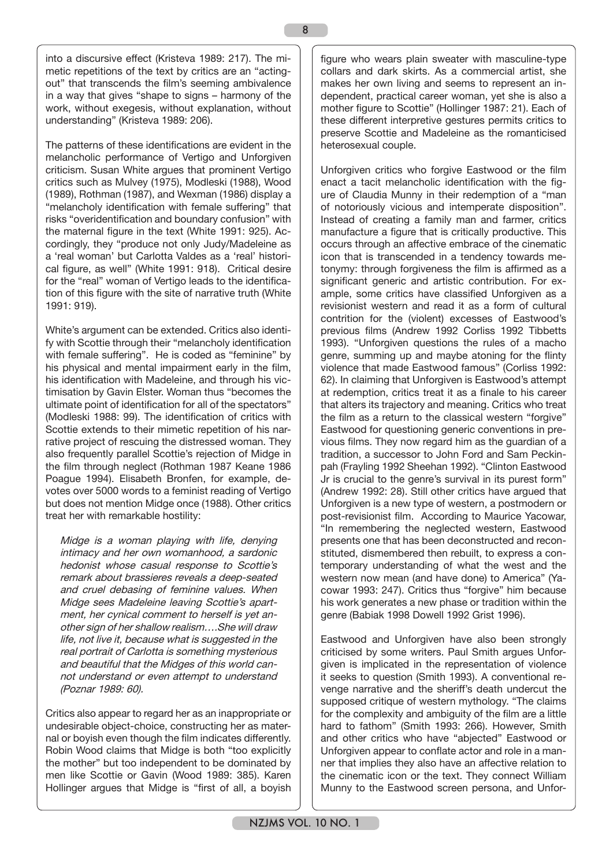8

into a discursive effect (Kristeva 1989: 217). The mimetic repetitions of the text by critics are an "actingout" that transcends the film's seeming ambivalence in a way that gives "shape to signs – harmony of the work, without exegesis, without explanation, without understanding" (Kristeva 1989: 206).

The patterns of these identifications are evident in the melancholic performance of Vertigo and Unforgiven criticism. Susan White argues that prominent Vertigo critics such as Mulvey (1975), Modleski (1988), Wood (1989), Rothman (1987), and Wexman (1986) display a "melancholy identification with female suffering" that risks "overidentification and boundary confusion" with the maternal figure in the text (White 1991: 925). Accordingly, they "produce not only Judy/Madeleine as a 'real woman' but Carlotta Valdes as a 'real' historical figure, as well" (White 1991: 918). Critical desire for the "real" woman of Vertigo leads to the identification of this figure with the site of narrative truth (White 1991: 919).

White's argument can be extended. Critics also identify with Scottie through their "melancholy identification with female suffering". He is coded as "feminine" by his physical and mental impairment early in the film, his identification with Madeleine, and through his victimisation by Gavin Elster. Woman thus "becomes the ultimate point of identification for all of the spectators" (Modleski 1988: 99). The identification of critics with Scottie extends to their mimetic repetition of his narrative project of rescuing the distressed woman. They also frequently parallel Scottie's rejection of Midge in the film through neglect (Rothman 1987 Keane 1986 Poague 1994). Elisabeth Bronfen, for example, devotes over 5000 words to a feminist reading of Vertigo but does not mention Midge once (1988). Other critics treat her with remarkable hostility:

Midge is a woman playing with life, denying intimacy and her own womanhood, a sardonic hedonist whose casual response to Scottie's remark about brassieres reveals a deep-seated and cruel debasing of feminine values. When Midge sees Madeleine leaving Scottie's apartment, her cynical comment to herself is yet another sign of her shallow realism….She will draw life, not live it, because what is suggested in the real portrait of Carlotta is something mysterious and beautiful that the Midges of this world cannot understand or even attempt to understand (Poznar 1989: 60).

Critics also appear to regard her as an inappropriate or undesirable object-choice, constructing her as maternal or boyish even though the film indicates differently. Robin Wood claims that Midge is both "too explicitly the mother" but too independent to be dominated by men like Scottie or Gavin (Wood 1989: 385). Karen Hollinger argues that Midge is "first of all, a boyish figure who wears plain sweater with masculine-type collars and dark skirts. As a commercial artist, she makes her own living and seems to represent an independent, practical career woman, yet she is also a mother figure to Scottie" (Hollinger 1987: 21). Each of these different interpretive gestures permits critics to preserve Scottie and Madeleine as the romanticised heterosexual couple.

Unforgiven critics who forgive Eastwood or the film enact a tacit melancholic identification with the figure of Claudia Munny in their redemption of a "man of notoriously vicious and intemperate disposition". Instead of creating a family man and farmer, critics manufacture a figure that is critically productive. This occurs through an affective embrace of the cinematic icon that is transcended in a tendency towards metonymy: through forgiveness the film is affirmed as a significant generic and artistic contribution. For example, some critics have classified Unforgiven as a revisionist western and read it as a form of cultural contrition for the (violent) excesses of Eastwood's previous films (Andrew 1992 Corliss 1992 Tibbetts 1993). "Unforgiven questions the rules of a macho genre, summing up and maybe atoning for the flinty violence that made Eastwood famous" (Corliss 1992: 62). In claiming that Unforgiven is Eastwood's attempt at redemption, critics treat it as a finale to his career that alters its trajectory and meaning. Critics who treat the film as a return to the classical western "forgive" Eastwood for questioning generic conventions in previous films. They now regard him as the guardian of a tradition, a successor to John Ford and Sam Peckinpah (Frayling 1992 Sheehan 1992). "Clinton Eastwood Jr is crucial to the genre's survival in its purest form" (Andrew 1992: 28). Still other critics have argued that Unforgiven is a new type of western, a postmodern or post-revisionist film. According to Maurice Yacowar, "In remembering the neglected western, Eastwood presents one that has been deconstructed and reconstituted, dismembered then rebuilt, to express a contemporary understanding of what the west and the western now mean (and have done) to America" (Yacowar 1993: 247). Critics thus "forgive" him because his work generates a new phase or tradition within the genre (Babiak 1998 Dowell 1992 Grist 1996).

Eastwood and Unforgiven have also been strongly criticised by some writers. Paul Smith argues Unforgiven is implicated in the representation of violence it seeks to question (Smith 1993). A conventional revenge narrative and the sheriff's death undercut the supposed critique of western mythology. "The claims for the complexity and ambiguity of the film are a little hard to fathom" (Smith 1993: 266). However, Smith and other critics who have "abjected" Eastwood or Unforgiven appear to conflate actor and role in a manner that implies they also have an affective relation to the cinematic icon or the text. They connect William Munny to the Eastwood screen persona, and Unfor-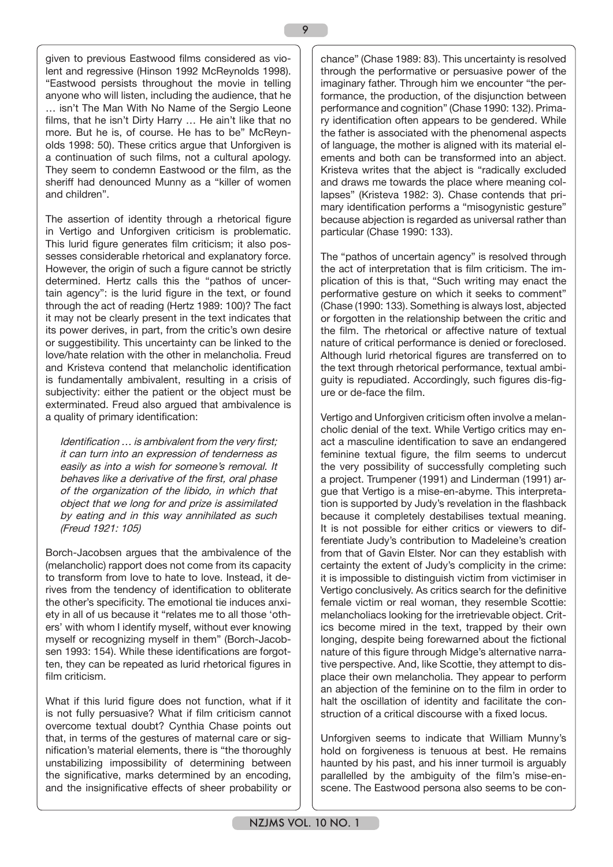given to previous Eastwood films considered as violent and regressive (Hinson 1992 McReynolds 1998). "Eastwood persists throughout the movie in telling anyone who will listen, including the audience, that he … isn't The Man With No Name of the Sergio Leone films, that he isn't Dirty Harry … He ain't like that no more. But he is, of course. He has to be" McReynolds 1998: 50). These critics argue that Unforgiven is a continuation of such films, not a cultural apology. They seem to condemn Eastwood or the film, as the sheriff had denounced Munny as a "killer of women and children".

The assertion of identity through a rhetorical figure in Vertigo and Unforgiven criticism is problematic. This lurid figure generates film criticism; it also possesses considerable rhetorical and explanatory force. However, the origin of such a figure cannot be strictly determined. Hertz calls this the "pathos of uncertain agency": is the lurid figure in the text, or found through the act of reading (Hertz 1989: 100)? The fact it may not be clearly present in the text indicates that its power derives, in part, from the critic's own desire or suggestibility. This uncertainty can be linked to the love/hate relation with the other in melancholia. Freud and Kristeva contend that melancholic identification is fundamentally ambivalent, resulting in a crisis of subjectivity: either the patient or the object must be exterminated. Freud also argued that ambivalence is a quality of primary identification:

Identification ... is ambivalent from the very first; it can turn into an expression of tenderness as easily as into a wish for someone's removal. It behaves like a derivative of the first, oral phase of the organization of the libido, in which that object that we long for and prize is assimilated by eating and in this way annihilated as such (Freud 1921: 105)

Borch-Jacobsen argues that the ambivalence of the (melancholic) rapport does not come from its capacity to transform from love to hate to love. Instead, it derives from the tendency of identification to obliterate the other's specificity. The emotional tie induces anxiety in all of us because it "relates me to all those 'others' with whom I identify myself, without ever knowing myself or recognizing myself in them" (Borch-Jacobsen 1993: 154). While these identifications are forgotten, they can be repeated as lurid rhetorical figures in film criticism.

What if this lurid figure does not function, what if it is not fully persuasive? What if film criticism cannot overcome textual doubt? Cynthia Chase points out that, in terms of the gestures of maternal care or signification's material elements, there is "the thoroughly unstabilizing impossibility of determining between the significative, marks determined by an encoding, and the insignificative effects of sheer probability or

chance" (Chase 1989: 83). This uncertainty is resolved through the performative or persuasive power of the imaginary father. Through him we encounter "the performance, the production, of the disjunction between performance and cognition" (Chase 1990: 132). Primary identification often appears to be gendered. While the father is associated with the phenomenal aspects of language, the mother is aligned with its material elements and both can be transformed into an abject. Kristeva writes that the abject is "radically excluded and draws me towards the place where meaning collapses" (Kristeva 1982: 3). Chase contends that primary identification performs a "misogynistic gesture" because abjection is regarded as universal rather than particular (Chase 1990: 133).

The "pathos of uncertain agency" is resolved through the act of interpretation that is film criticism. The implication of this is that, "Such writing may enact the performative gesture on which it seeks to comment" (Chase (1990: 133). Something is always lost, abjected or forgotten in the relationship between the critic and the film. The rhetorical or affective nature of textual nature of critical performance is denied or foreclosed. Although lurid rhetorical figures are transferred on to the text through rhetorical performance, textual ambiguity is repudiated. Accordingly, such figures dis-figure or de-face the film.

Vertigo and Unforgiven criticism often involve a melancholic denial of the text. While Vertigo critics may enact a masculine identification to save an endangered feminine textual figure, the film seems to undercut the very possibility of successfully completing such a project. Trumpener (1991) and Linderman (1991) argue that Vertigo is a mise-en-abyme. This interpretation is supported by Judy's revelation in the flashback because it completely destabilises textual meaning. It is not possible for either critics or viewers to differentiate Judy's contribution to Madeleine's creation from that of Gavin Elster. Nor can they establish with certainty the extent of Judy's complicity in the crime: it is impossible to distinguish victim from victimiser in Vertigo conclusively. As critics search for the definitive female victim or real woman, they resemble Scottie: melancholiacs looking for the irretrievable object. Critics become mired in the text, trapped by their own longing, despite being forewarned about the fictional nature of this figure through Midge's alternative narrative perspective. And, like Scottie, they attempt to displace their own melancholia. They appear to perform an abjection of the feminine on to the film in order to halt the oscillation of identity and facilitate the construction of a critical discourse with a fixed locus.

Unforgiven seems to indicate that William Munny's hold on forgiveness is tenuous at best. He remains haunted by his past, and his inner turmoil is arguably parallelled by the ambiguity of the film's mise-enscene. The Eastwood persona also seems to be con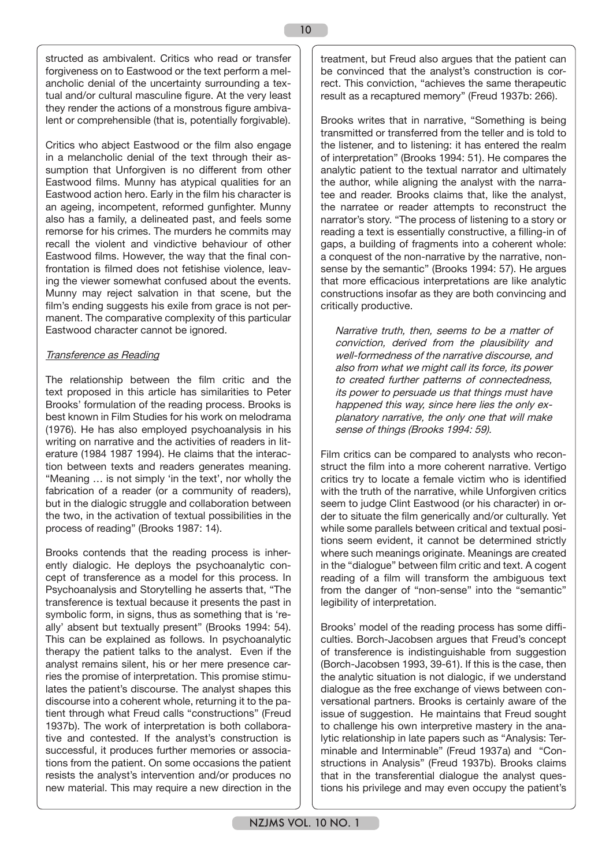structed as ambivalent. Critics who read or transfer forgiveness on to Eastwood or the text perform a melancholic denial of the uncertainty surrounding a textual and/or cultural masculine figure. At the very least they render the actions of a monstrous figure ambivalent or comprehensible (that is, potentially forgivable).

Critics who abject Eastwood or the film also engage in a melancholic denial of the text through their assumption that Unforgiven is no different from other Eastwood films. Munny has atypical qualities for an Eastwood action hero. Early in the film his character is an ageing, incompetent, reformed gunfighter. Munny also has a family, a delineated past, and feels some remorse for his crimes. The murders he commits may recall the violent and vindictive behaviour of other Eastwood films. However, the way that the final confrontation is filmed does not fetishise violence, leaving the viewer somewhat confused about the events. Munny may reject salvation in that scene, but the film's ending suggests his exile from grace is not permanent. The comparative complexity of this particular Eastwood character cannot be ignored.

## Transference as Reading

The relationship between the film critic and the text proposed in this article has similarities to Peter Brooks' formulation of the reading process. Brooks is best known in Film Studies for his work on melodrama (1976). He has also employed psychoanalysis in his writing on narrative and the activities of readers in literature (1984 1987 1994). He claims that the interaction between texts and readers generates meaning. "Meaning … is not simply 'in the text', nor wholly the fabrication of a reader (or a community of readers), but in the dialogic struggle and collaboration between the two, in the activation of textual possibilities in the process of reading" (Brooks 1987: 14).

Brooks contends that the reading process is inherently dialogic. He deploys the psychoanalytic concept of transference as a model for this process. In Psychoanalysis and Storytelling he asserts that, "The transference is textual because it presents the past in symbolic form, in signs, thus as something that is 'really' absent but textually present" (Brooks 1994: 54). This can be explained as follows. In psychoanalytic therapy the patient talks to the analyst. Even if the analyst remains silent, his or her mere presence carries the promise of interpretation. This promise stimulates the patient's discourse. The analyst shapes this discourse into a coherent whole, returning it to the patient through what Freud calls "constructions" (Freud 1937b). The work of interpretation is both collaborative and contested. If the analyst's construction is successful, it produces further memories or associations from the patient. On some occasions the patient resists the analyst's intervention and/or produces no new material. This may require a new direction in the

treatment, but Freud also argues that the patient can be convinced that the analyst's construction is correct. This conviction, "achieves the same therapeutic result as a recaptured memory" (Freud 1937b: 266).

Brooks writes that in narrative, "Something is being transmitted or transferred from the teller and is told to the listener, and to listening: it has entered the realm of interpretation" (Brooks 1994: 51). He compares the analytic patient to the textual narrator and ultimately the author, while aligning the analyst with the narratee and reader. Brooks claims that, like the analyst, the narratee or reader attempts to reconstruct the narrator's story. "The process of listening to a story or reading a text is essentially constructive, a filling-in of gaps, a building of fragments into a coherent whole: a conquest of the non-narrative by the narrative, nonsense by the semantic" (Brooks 1994: 57). He argues that more efficacious interpretations are like analytic constructions insofar as they are both convincing and critically productive.

Narrative truth, then, seems to be a matter of conviction, derived from the plausibility and well-formedness of the narrative discourse, and also from what we might call its force, its power to created further patterns of connectedness, its power to persuade us that things must have happened this way, since here lies the only explanatory narrative, the only one that will make sense of things (Brooks 1994: 59).

Film critics can be compared to analysts who reconstruct the film into a more coherent narrative. Vertigo critics try to locate a female victim who is identified with the truth of the narrative, while Unforgiven critics seem to judge Clint Eastwood (or his character) in order to situate the film generically and/or culturally. Yet while some parallels between critical and textual positions seem evident, it cannot be determined strictly where such meanings originate. Meanings are created in the "dialogue" between film critic and text. A cogent reading of a film will transform the ambiguous text from the danger of "non-sense" into the "semantic" legibility of interpretation.

Brooks' model of the reading process has some difficulties. Borch-Jacobsen argues that Freud's concept of transference is indistinguishable from suggestion (Borch-Jacobsen 1993, 39-61). If this is the case, then the analytic situation is not dialogic, if we understand dialogue as the free exchange of views between conversational partners. Brooks is certainly aware of the issue of suggestion. He maintains that Freud sought to challenge his own interpretive mastery in the analytic relationship in late papers such as "Analysis: Terminable and Interminable" (Freud 1937a) and "Constructions in Analysis" (Freud 1937b). Brooks claims that in the transferential dialogue the analyst questions his privilege and may even occupy the patient's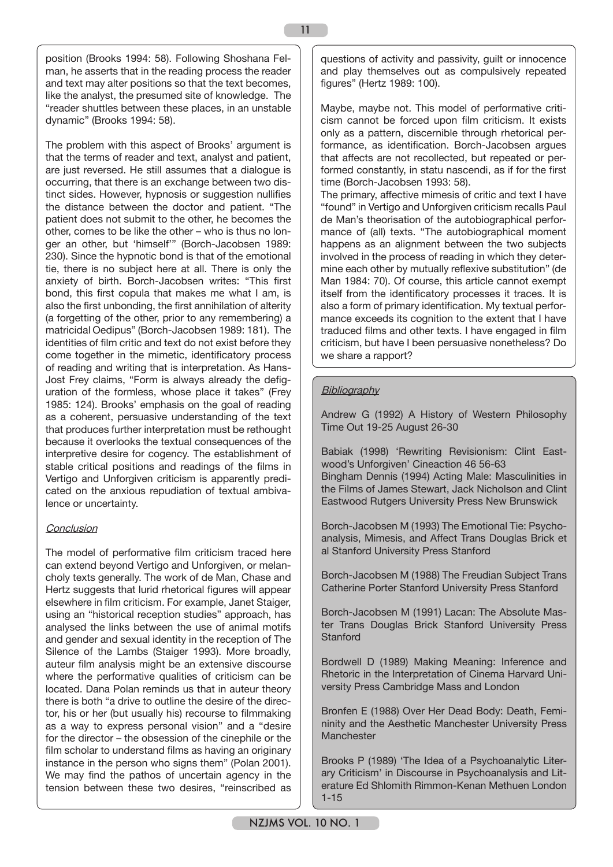position (Brooks 1994: 58). Following Shoshana Felman, he asserts that in the reading process the reader and text may alter positions so that the text becomes, like the analyst, the presumed site of knowledge. The "reader shuttles between these places, in an unstable dynamic" (Brooks 1994: 58).

The problem with this aspect of Brooks' argument is that the terms of reader and text, analyst and patient, are just reversed. He still assumes that a dialogue is occurring, that there is an exchange between two distinct sides. However, hypnosis or suggestion nullifies the distance between the doctor and patient. "The patient does not submit to the other, he becomes the other, comes to be like the other – who is thus no longer an other, but 'himself'" (Borch-Jacobsen 1989: 230). Since the hypnotic bond is that of the emotional tie, there is no subject here at all. There is only the anxiety of birth. Borch-Jacobsen writes: "This first bond, this first copula that makes me what I am, is also the first unbonding, the first annihilation of alterity (a forgetting of the other, prior to any remembering) a matricidal Oedipus" (Borch-Jacobsen 1989: 181). The identities of film critic and text do not exist before they come together in the mimetic, identificatory process of reading and writing that is interpretation. As Hans-Jost Frey claims, "Form is always already the defiguration of the formless, whose place it takes" (Frey 1985: 124). Brooks' emphasis on the goal of reading as a coherent, persuasive understanding of the text that produces further interpretation must be rethought because it overlooks the textual consequences of the interpretive desire for cogency. The establishment of stable critical positions and readings of the films in Vertigo and Unforgiven criticism is apparently predicated on the anxious repudiation of textual ambivalence or uncertainty.

## **Conclusion**

The model of performative film criticism traced here can extend beyond Vertigo and Unforgiven, or melancholy texts generally. The work of de Man, Chase and Hertz suggests that lurid rhetorical figures will appear elsewhere in film criticism. For example, Janet Staiger, using an "historical reception studies" approach, has analysed the links between the use of animal motifs and gender and sexual identity in the reception of The Silence of the Lambs (Staiger 1993). More broadly, auteur film analysis might be an extensive discourse where the performative qualities of criticism can be located. Dana Polan reminds us that in auteur theory there is both "a drive to outline the desire of the director, his or her (but usually his) recourse to filmmaking as a way to express personal vision" and a "desire for the director – the obsession of the cinephile or the film scholar to understand films as having an originary instance in the person who signs them" (Polan 2001). We may find the pathos of uncertain agency in the tension between these two desires, "reinscribed as

questions of activity and passivity, guilt or innocence and play themselves out as compulsively repeated figures" (Hertz 1989: 100).

Maybe, maybe not. This model of performative criticism cannot be forced upon film criticism. It exists only as a pattern, discernible through rhetorical performance, as identification. Borch-Jacobsen argues that affects are not recollected, but repeated or performed constantly, in statu nascendi, as if for the first time (Borch-Jacobsen 1993: 58).

The primary, affective mimesis of critic and text I have "found" in Vertigo and Unforgiven criticism recalls Paul de Man's theorisation of the autobiographical performance of (all) texts. "The autobiographical moment happens as an alignment between the two subjects involved in the process of reading in which they determine each other by mutually reflexive substitution" (de Man 1984: 70). Of course, this article cannot exempt itself from the identificatory processes it traces. It is also a form of primary identification. My textual performance exceeds its cognition to the extent that I have traduced films and other texts. I have engaged in film criticism, but have I been persuasive nonetheless? Do we share a rapport?

# **Bibliography**

11

Andrew G (1992) A History of Western Philosophy Time Out 19-25 August 26-30

Babiak (1998) 'Rewriting Revisionism: Clint Eastwood's Unforgiven' Cineaction 46 56-63 Bingham Dennis (1994) Acting Male: Masculinities in the Films of James Stewart, Jack Nicholson and Clint Eastwood Rutgers University Press New Brunswick

Borch-Jacobsen M (1993) The Emotional Tie: Psychoanalysis, Mimesis, and Affect Trans Douglas Brick et al Stanford University Press Stanford

Borch-Jacobsen M (1988) The Freudian Subject Trans Catherine Porter Stanford University Press Stanford

Borch-Jacobsen M (1991) Lacan: The Absolute Master Trans Douglas Brick Stanford University Press **Stanford** 

Bordwell D (1989) Making Meaning: Inference and Rhetoric in the Interpretation of Cinema Harvard University Press Cambridge Mass and London

Bronfen E (1988) Over Her Dead Body: Death, Femininity and the Aesthetic Manchester University Press Manchester

Brooks P (1989) 'The Idea of a Psychoanalytic Literary Criticism' in Discourse in Psychoanalysis and Literature Ed Shlomith Rimmon-Kenan Methuen London 1-15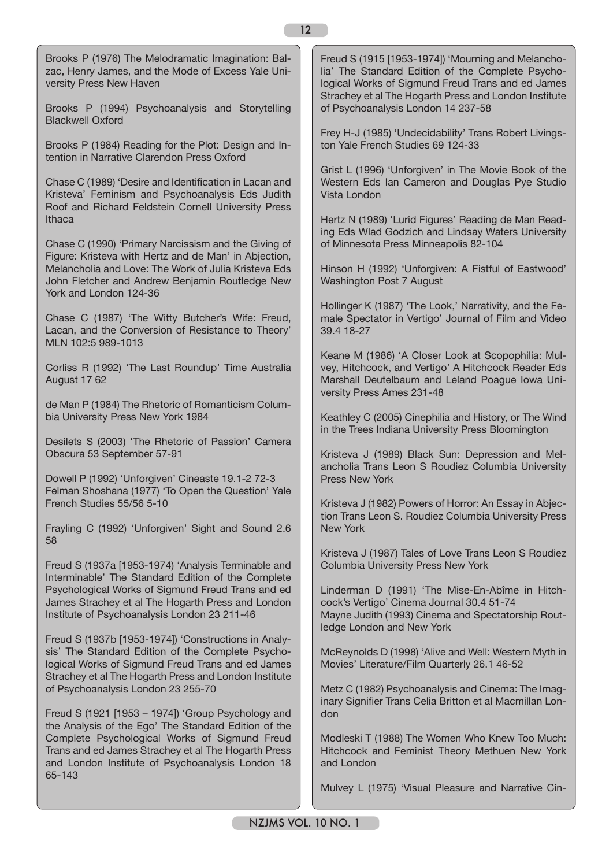Brooks P (1976) The Melodramatic Imagination: Balzac, Henry James, and the Mode of Excess Yale University Press New Haven

Brooks P (1994) Psychoanalysis and Storytelling Blackwell Oxford

Brooks P (1984) Reading for the Plot: Design and Intention in Narrative Clarendon Press Oxford

Chase C (1989) 'Desire and Identification in Lacan and Kristeva' Feminism and Psychoanalysis Eds Judith Roof and Richard Feldstein Cornell University Press Ithaca

Chase C (1990) 'Primary Narcissism and the Giving of Figure: Kristeva with Hertz and de Man' in Abjection, Melancholia and Love: The Work of Julia Kristeva Eds John Fletcher and Andrew Benjamin Routledge New York and London 124-36

Chase C (1987) 'The Witty Butcher's Wife: Freud, Lacan, and the Conversion of Resistance to Theory' MLN 102:5 989-1013

Corliss R (1992) 'The Last Roundup' Time Australia August 17 62

de Man P (1984) The Rhetoric of Romanticism Columbia University Press New York 1984

Desilets S (2003) 'The Rhetoric of Passion' Camera Obscura 53 September 57-91

Dowell P (1992) 'Unforgiven' Cineaste 19.1-2 72-3 Felman Shoshana (1977) 'To Open the Question' Yale French Studies 55/56 5-10

Frayling C (1992) 'Unforgiven' Sight and Sound 2.6 58

Freud S (1937a [1953-1974) 'Analysis Terminable and Interminable' The Standard Edition of the Complete Psychological Works of Sigmund Freud Trans and ed James Strachey et al The Hogarth Press and London Institute of Psychoanalysis London 23 211-46

Freud S (1937b [1953-1974]) 'Constructions in Analysis' The Standard Edition of the Complete Psychological Works of Sigmund Freud Trans and ed James Strachey et al The Hogarth Press and London Institute of Psychoanalysis London 23 255-70

Freud S (1921 [1953 – 1974]) 'Group Psychology and the Analysis of the Ego' The Standard Edition of the Complete Psychological Works of Sigmund Freud Trans and ed James Strachey et al The Hogarth Press and London Institute of Psychoanalysis London 18 65-143

Freud S (1915 [1953-1974]) 'Mourning and Melancholia' The Standard Edition of the Complete Psychological Works of Sigmund Freud Trans and ed James Strachey et al The Hogarth Press and London Institute of Psychoanalysis London 14 237-58

Frey H-J (1985) 'Undecidability' Trans Robert Livingston Yale French Studies 69 124-33

Grist L (1996) 'Unforgiven' in The Movie Book of the Western Eds Ian Cameron and Douglas Pye Studio Vista London

Hertz N (1989) 'Lurid Figures' Reading de Man Reading Eds Wlad Godzich and Lindsay Waters University of Minnesota Press Minneapolis 82-104

Hinson H (1992) 'Unforgiven: A Fistful of Eastwood' Washington Post 7 August

Hollinger K (1987) 'The Look,' Narrativity, and the Female Spectator in Vertigo' Journal of Film and Video 39.4 18-27

Keane M (1986) 'A Closer Look at Scopophilia: Mulvey, Hitchcock, and Vertigo' A Hitchcock Reader Eds Marshall Deutelbaum and Leland Poague Iowa University Press Ames 231-48

Keathley C (2005) Cinephilia and History, or The Wind in the Trees Indiana University Press Bloomington

Kristeva J (1989) Black Sun: Depression and Melancholia Trans Leon S Roudiez Columbia University Press New York

Kristeva J (1982) Powers of Horror: An Essay in Abjection Trans Leon S. Roudiez Columbia University Press New York

Kristeva J (1987) Tales of Love Trans Leon S Roudiez Columbia University Press New York

Linderman D (1991) 'The Mise-En-Abîme in Hitchcock's Vertigo' Cinema Journal 30.4 51-74 Mayne Judith (1993) Cinema and Spectatorship Routledge London and New York

McReynolds D (1998) 'Alive and Well: Western Myth in Movies' Literature/Film Quarterly 26.1 46-52

Metz C (1982) Psychoanalysis and Cinema: The Imaginary Signifier Trans Celia Britton et al Macmillan London

Modleski T (1988) The Women Who Knew Too Much: Hitchcock and Feminist Theory Methuen New York and London

Mulvey L (1975) 'Visual Pleasure and Narrative Cin-